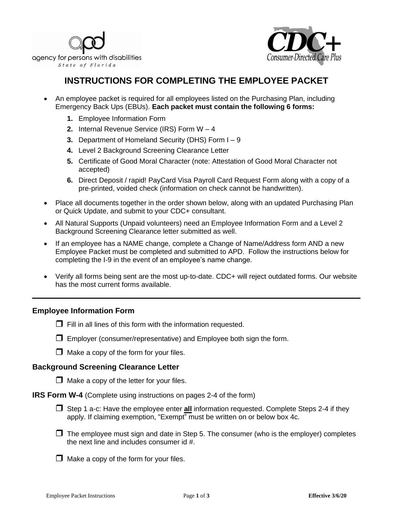



## **INSTRUCTIONS FOR COMPLETING THE EMPLOYEE PACKET**

- An employee packet is required for all employees listed on the Purchasing Plan, including Emergency Back Ups (EBUs). **Each packet must contain the following 6 forms:**
	- **1.** Employee Information Form
	- **2.** Internal Revenue Service (IRS) Form W 4
	- **3.** Department of Homeland Security (DHS) Form I 9
	- **4.** Level 2 Background Screening Clearance Letter
	- **5.** Certificate of Good Moral Character (note: Attestation of Good Moral Character not accepted)
	- **6.** Direct Deposit / rapid! PayCard Visa Payroll Card Request Form along with a copy of a pre-printed, voided check (information on check cannot be handwritten).
- Place all documents together in the order shown below, along with an updated Purchasing Plan or Quick Update, and submit to your CDC+ consultant.
- All Natural Supports (Unpaid volunteers) need an Employee Information Form and a Level 2 Background Screening Clearance letter submitted as well.
- If an employee has a NAME change, complete a Change of Name/Address form AND a new Employee Packet must be completed and submitted to APD. Follow the instructions below for completing the I-9 in the event of an employee's name change.
- Verify all forms being sent are the most up-to-date. CDC+ will reject outdated forms. Our website has the most current forms available.

## **Employee Information Form**

- $\Box$  Fill in all lines of this form with the information requested.
- $\Box$  Employer (consumer/representative) and Employee both sign the form.
- $\Box$  Make a copy of the form for your files.

## **Background Screening Clearance Letter**

- $\Box$  Make a copy of the letter for your files.
- **IRS Form W-4** (Complete using instructions on pages 2-4 of the form)
	- Step 1 a-c: Have the employee enter **all** information requested. Complete Steps 2-4 if they apply. If claiming exemption, "Exempt" must be written on or below box 4c.
	- $\Box$  The employee must sign and date in Step 5. The consumer (who is the employer) completes the next line and includes consumer id #.
	- $\Box$  Make a copy of the form for your files.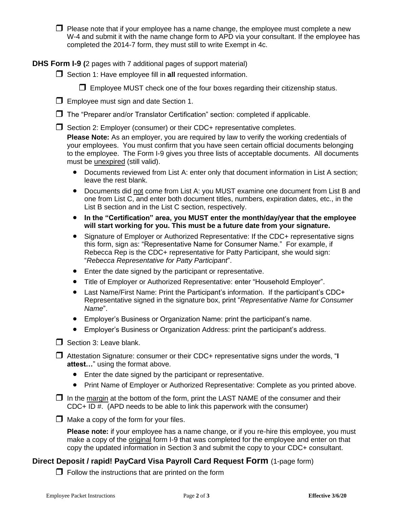$\Box$  Please note that if your employee has a name change, the employee must complete a new W-4 and submit it with the name change form to APD via your consultant. If the employee has completed the 2014-7 form, they must still to write Exempt in 4c.

**DHS Form I-9 (**2 pages with 7 additional pages of support material)

□ Section 1: Have employee fill in **all** requested information.

 $\Box$  Employee MUST check one of the four boxes regarding their citizenship status.



 $\Box$  The "Preparer and/or Translator Certification" section: completed if applicable.

 $\Box$  Section 2: Employer (consumer) or their CDC+ representative completes.

**Please Note:** As an employer, you are required by law to verify the working credentials of your employees. You must confirm that you have seen certain official documents belonging to the employee. The Form I-9 gives you three lists of acceptable documents. All documents must be unexpired (still valid).

- Documents reviewed from List A: enter only that document information in List A section; leave the rest blank.
- Documents did not come from List A: you MUST examine one document from List B and one from List C, and enter both document titles, numbers, expiration dates, etc., in the List B section and in the List C section, respectively.
- **In the "Certification" area, you MUST enter the month/day/year that the employee will start working for you. This must be a future date from your signature.**
- Signature of Employer or Authorized Representative: If the CDC+ representative signs this form, sign as: "Representative Name for Consumer Name." For example, if Rebecca Rep is the CDC+ representative for Patty Participant, she would sign: "*Rebecca Representative for Patty Participant*".
- Enter the date signed by the participant or representative.
- Title of Employer or Authorized Representative: enter "Household Employer".
- Last Name/First Name: Print the Participant's information. If the participant's CDC+ Representative signed in the signature box, print "*Representative Name for Consumer Name*".
- Employer's Business or Organization Name: print the participant's name.
- Employer's Business or Organization Address: print the participant's address.
- $\Box$  Section 3: Leave blank.
- Attestation Signature: consumer or their CDC+ representative signs under the words, "**I attest…**" using the format above.
	- Enter the date signed by the participant or representative.
	- Print Name of Employer or Authorized Representative: Complete as you printed above.
- $\Box$  In the margin at the bottom of the form, print the LAST NAME of the consumer and their CDC+ ID #. (APD needs to be able to link this paperwork with the consumer)
- $\Box$  Make a copy of the form for your files.

**Please note:** if your employee has a name change, or if you re-hire this employee, you must make a copy of the original form I-9 that was completed for the employee and enter on that copy the updated information in Section 3 and submit the copy to your CDC+ consultant.

## **Direct Deposit / rapid! PayCard Visa Payroll Card Request Form** (1-page form)

 $\Box$  Follow the instructions that are printed on the form